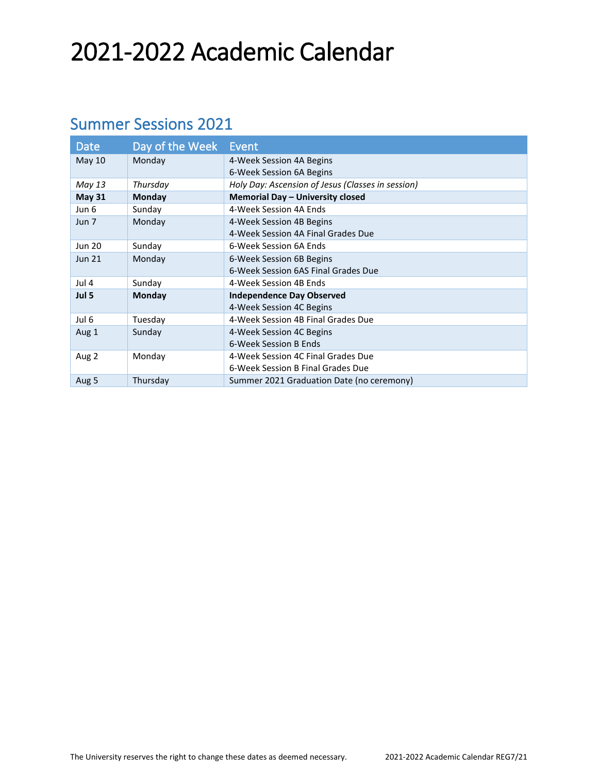# 2021-2022 Academic Calendar

### Summer Sessions 2021

| <b>Date</b>   | Day of the Week | Event                                             |
|---------------|-----------------|---------------------------------------------------|
| <b>May 10</b> | Monday          | 4-Week Session 4A Begins                          |
|               |                 | 6-Week Session 6A Begins                          |
| May 13        | Thursday        | Holy Day: Ascension of Jesus (Classes in session) |
| <b>May 31</b> | Monday          | Memorial Day - University closed                  |
| Jun 6         | Sunday          | 4-Week Session 4A Ends                            |
| Jun 7         | Monday          | 4-Week Session 4B Begins                          |
|               |                 | 4-Week Session 4A Final Grades Due                |
| <b>Jun 20</b> | Sunday          | 6-Week Session 6A Ends                            |
| <b>Jun 21</b> | Monday          | 6-Week Session 6B Begins                          |
|               |                 | 6-Week Session 6AS Final Grades Due               |
| Jul 4         | Sunday          | 4-Week Session 4B Ends                            |
| Jul 5         | Monday          | <b>Independence Day Observed</b>                  |
|               |                 | 4-Week Session 4C Begins                          |
| Jul 6         | Tuesday         | 4-Week Session 4B Final Grades Due                |
| Aug 1         | Sunday          | 4-Week Session 4C Begins                          |
|               |                 | 6-Week Session B Ends                             |
| Aug 2         | Monday          | 4-Week Session 4C Final Grades Due                |
|               |                 | 6-Week Session B Final Grades Due                 |
| Aug 5         | Thursday        | Summer 2021 Graduation Date (no ceremony)         |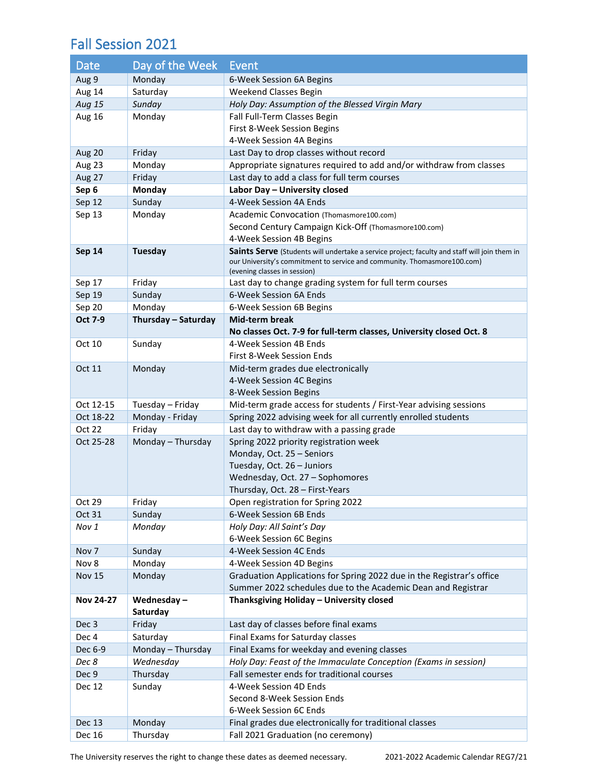#### Fall Session 2021

| Date             | Day of the Week     | <b>Event</b>                                                                                                                          |
|------------------|---------------------|---------------------------------------------------------------------------------------------------------------------------------------|
| Aug 9            | Monday              | 6-Week Session 6A Begins                                                                                                              |
| Aug 14           | Saturday            | Weekend Classes Begin                                                                                                                 |
| Aug 15           | Sunday              | Holy Day: Assumption of the Blessed Virgin Mary                                                                                       |
| <b>Aug 16</b>    | Monday              | Fall Full-Term Classes Begin                                                                                                          |
|                  |                     | First 8-Week Session Begins                                                                                                           |
|                  |                     | 4-Week Session 4A Begins                                                                                                              |
| Aug 20           | Friday              | Last Day to drop classes without record                                                                                               |
| Aug 23           | Monday              | Appropriate signatures required to add and/or withdraw from classes                                                                   |
| Aug 27           | Friday              | Last day to add a class for full term courses                                                                                         |
| Sep 6            | Monday              | Labor Day - University closed                                                                                                         |
| Sep 12           | Sunday              | 4-Week Session 4A Ends                                                                                                                |
| Sep 13           | Monday              | Academic Convocation (Thomasmore100.com)                                                                                              |
|                  |                     | Second Century Campaign Kick-Off (Thomasmore100.com)                                                                                  |
|                  |                     | 4-Week Session 4B Begins                                                                                                              |
| <b>Sep 14</b>    | <b>Tuesday</b>      | Saints Serve (Students will undertake a service project; faculty and staff will join them in                                          |
|                  |                     | our University's commitment to service and community. Thomasmore100.com)<br>(evening classes in session)                              |
| Sep 17           | Friday              | Last day to change grading system for full term courses                                                                               |
| Sep 19           | Sunday              | 6-Week Session 6A Ends                                                                                                                |
| Sep 20           | Monday              | 6-Week Session 6B Begins                                                                                                              |
| Oct 7-9          | Thursday - Saturday | <b>Mid-term break</b>                                                                                                                 |
|                  |                     | No classes Oct. 7-9 for full-term classes, University closed Oct. 8                                                                   |
| Oct 10           | Sunday              | 4-Week Session 4B Ends                                                                                                                |
|                  |                     | First 8-Week Session Ends                                                                                                             |
| Oct 11           | Monday              | Mid-term grades due electronically                                                                                                    |
|                  |                     | 4-Week Session 4C Begins                                                                                                              |
|                  |                     | 8-Week Session Begins                                                                                                                 |
| Oct 12-15        | Tuesday - Friday    | Mid-term grade access for students / First-Year advising sessions                                                                     |
| Oct 18-22        | Monday - Friday     | Spring 2022 advising week for all currently enrolled students                                                                         |
| Oct 22           | Friday              | Last day to withdraw with a passing grade                                                                                             |
| Oct 25-28        | Monday - Thursday   | Spring 2022 priority registration week                                                                                                |
|                  |                     | Monday, Oct. 25 - Seniors                                                                                                             |
|                  |                     | Tuesday, Oct. 26 - Juniors                                                                                                            |
|                  |                     | Wednesday, Oct. 27 - Sophomores                                                                                                       |
|                  |                     | Thursday, Oct. 28 - First-Years                                                                                                       |
| Oct 29           | Friday              | Open registration for Spring 2022                                                                                                     |
| Oct 31           | Sunday              | 6-Week Session 6B Ends                                                                                                                |
| Nov 1            | Monday              | Holy Day: All Saint's Day                                                                                                             |
|                  |                     | 6-Week Session 6C Begins                                                                                                              |
| Nov <sub>7</sub> | Sunday              | 4-Week Session 4C Ends                                                                                                                |
| Nov 8            | Monday              | 4-Week Session 4D Begins                                                                                                              |
| <b>Nov 15</b>    | Monday              | Graduation Applications for Spring 2022 due in the Registrar's office<br>Summer 2022 schedules due to the Academic Dean and Registrar |
| <b>Nov 24-27</b> | Wednesday-          | Thanksgiving Holiday - University closed                                                                                              |
|                  | Saturday            |                                                                                                                                       |
| Dec 3            | Friday              | Last day of classes before final exams                                                                                                |
| Dec 4            | Saturday            | Final Exams for Saturday classes                                                                                                      |
| Dec 6-9          | Monday - Thursday   | Final Exams for weekday and evening classes                                                                                           |
| Dec 8            | Wednesday           | Holy Day: Feast of the Immaculate Conception (Exams in session)                                                                       |
| Dec 9            | Thursday            | Fall semester ends for traditional courses                                                                                            |
| Dec 12           | Sunday              | 4-Week Session 4D Ends                                                                                                                |
|                  |                     | Second 8-Week Session Ends                                                                                                            |
|                  |                     | 6-Week Session 6C Ends                                                                                                                |
| Dec 13           | Monday              | Final grades due electronically for traditional classes                                                                               |
| Dec 16           | Thursday            | Fall 2021 Graduation (no ceremony)                                                                                                    |

The University reserves the right to change these dates as deemed necessary. 2021-2022 Academic Calendar REG7/21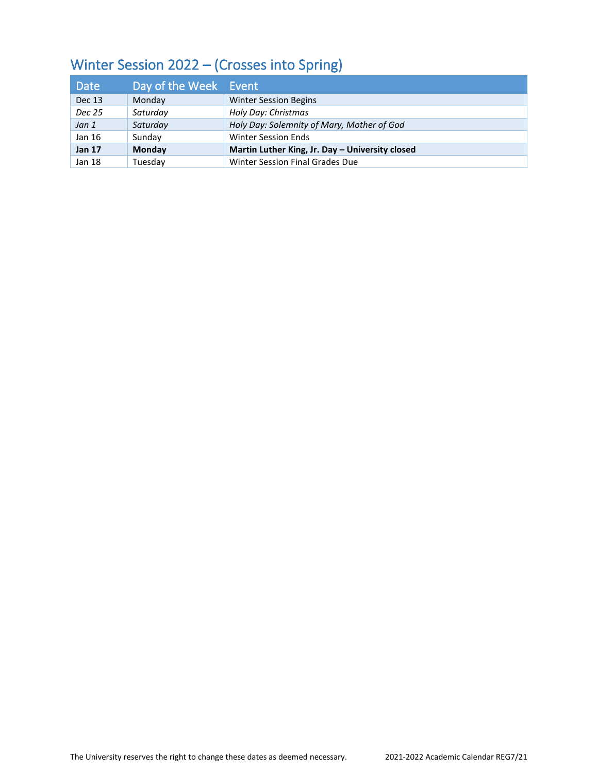## Winter Session 2022 – (Crosses into Spring)

| <b>Date</b>   | Day of the Week Event |                                                 |
|---------------|-----------------------|-------------------------------------------------|
| <b>Dec 13</b> | Monday                | <b>Winter Session Begins</b>                    |
| Dec 25        | Saturday              | Holy Day: Christmas                             |
| Jan 1         | Saturday              | Holy Day: Solemnity of Mary, Mother of God      |
| Jan 16        | Sunday                | <b>Winter Session Ends</b>                      |
| <b>Jan 17</b> | <b>Monday</b>         | Martin Luther King, Jr. Day - University closed |
| Jan 18        | Tuesdav               | Winter Session Final Grades Due                 |